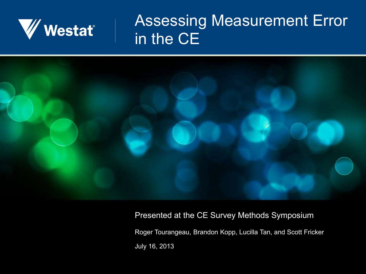

#### Assessing Measurement Error in the CE



#### Presented at the CE Survey Methods Symposium

Roger Tourangeau, Brandon Kopp, Lucilla Tan, and Scott Fricker July 16, 2013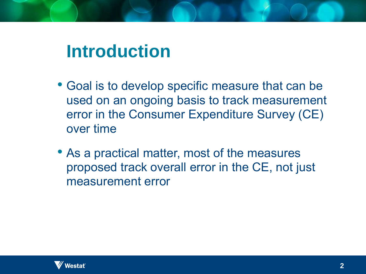# **Introduction**

- Goal is to develop specific measure that can be used on an ongoing basis to track measurement error in the Consumer Expenditure Survey (CE) over time
- As a practical matter, most of the measures proposed track overall error in the CE, not just measurement error

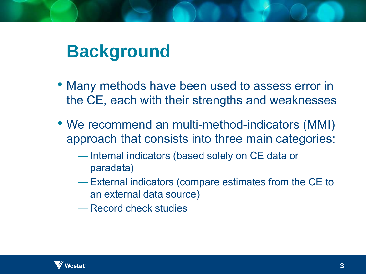# **Background**

- Many methods have been used to assess error in the CE, each with their strengths and weaknesses
- We recommend an multi-method-indicators (MMI) approach that consists into three main categories:
	- Internal indicators (based solely on CE data or paradata)
	- External indicators (compare estimates from the CE to an external data source)

— Record check studies

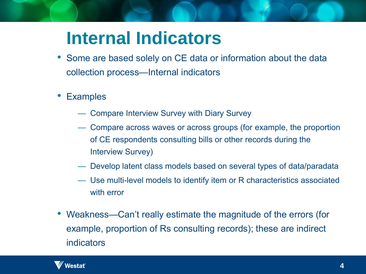# **Internal Indicators**

- Some are based solely on CE data or information about the data collection process—Internal indicators
- **Examples** 
	- Compare Interview Survey with Diary Survey
	- Compare across waves or across groups (for example, the proportion of CE respondents consulting bills or other records during the Interview Survey)
	- Develop latent class models based on several types of data/paradata
	- Use multi-level models to identify item or R characteristics associated with error
- Weakness—Can't really estimate the magnitude of the errors (for example, proportion of Rs consulting records); these are indirect indicators

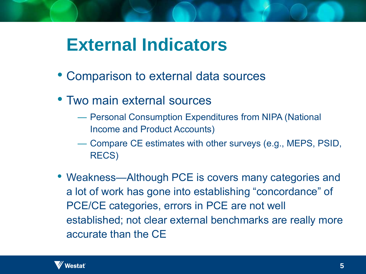#### **External Indicators**

- Comparison to external data sources
- Two main external sources
	- Personal Consumption Expenditures from NIPA (National Income and Product Accounts)
	- Compare CE estimates with other surveys (e.g., MEPS, PSID, RECS)
- Weakness—Although PCE is covers many categories and a lot of work has gone into establishing "concordance" of PCE/CE categories, errors in PCE are not well established; not clear external benchmarks are really more accurate than the CE

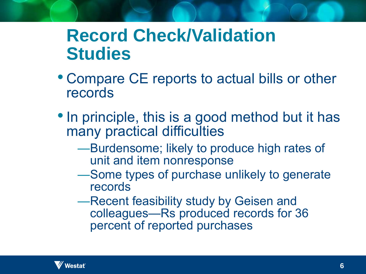#### **Record Check/Validation Studies**

- Compare CE reports to actual bills or other records
- In principle, this is a good method but it has many practical difficulties
	- —Burdensome; likely to produce high rates of unit and item nonresponse
	- —Some types of purchase unlikely to generate records
	- —Recent feasibility study by Geisen and colleagues—Rs produced records for 36 percent of reported purchases

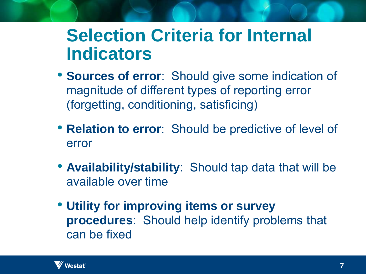### **Selection Criteria for Internal Indicators**

- **Sources of error**: Should give some indication of magnitude of different types of reporting error (forgetting, conditioning, satisficing)
- **Relation to error**: Should be predictive of level of error
- **Availability/stability**: Should tap data that will be available over time
- **Utility for improving items or survey procedures**: Should help identify problems that can be fixed

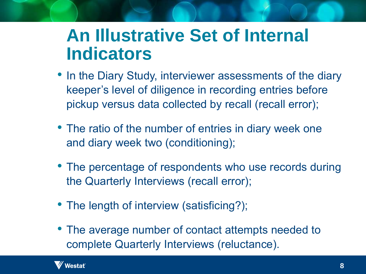#### **An Illustrative Set of Internal Indicators**

- In the Diary Study, interviewer assessments of the diary keeper's level of diligence in recording entries before pickup versus data collected by recall (recall error);
- The ratio of the number of entries in diary week one and diary week two (conditioning);
- The percentage of respondents who use records during the Quarterly Interviews (recall error);
- The length of interview (satisficing?);
- The average number of contact attempts needed to complete Quarterly Interviews (reluctance).

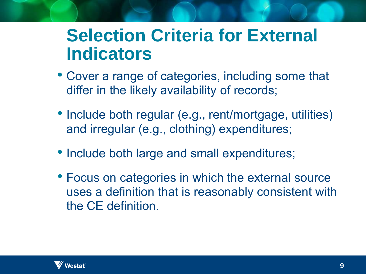### **Selection Criteria for External Indicators**

- Cover a range of categories, including some that differ in the likely availability of records;
- Include both regular (e.g., rent/mortgage, utilities) and irregular (e.g., clothing) expenditures;
- Include both large and small expenditures;
- Focus on categories in which the external source uses a definition that is reasonably consistent with the CE definition.

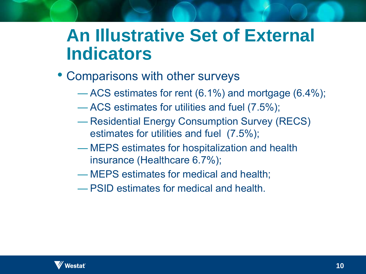### **An Illustrative Set of External Indicators**

- Comparisons with other surveys
	- ACS estimates for rent (6.1%) and mortgage (6.4%);
	- ACS estimates for utilities and fuel (7.5%);
	- Residential Energy Consumption Survey (RECS) estimates for utilities and fuel (7.5%);
	- MEPS estimates for hospitalization and health insurance (Healthcare 6.7%);
	- MEPS estimates for medical and health;
	- PSID estimates for medical and health.

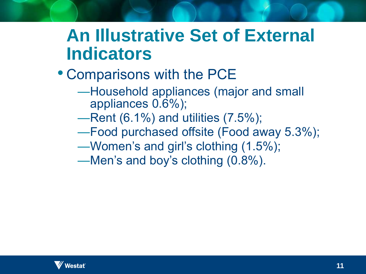### **An Illustrative Set of External Indicators**

- Comparisons with the PCE
	- —Household appliances (major and small appliances 0.6%);
	- —Rent (6.1%) and utilities (7.5%);
	- —Food purchased offsite (Food away 5.3%);
	- —Women's and girl's clothing (1.5%);
	- —Men's and boy's clothing (0.8%).

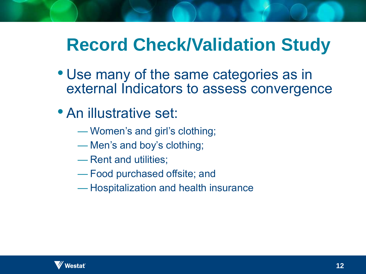# **Record Check/Validation Study**

- Use many of the same categories as in external Indicators to assess convergence
- An illustrative set:
	- Women's and girl's clothing;
	- Men's and boy's clothing;
	- Rent and utilities;
	- Food purchased offsite; and
	- Hospitalization and health insurance

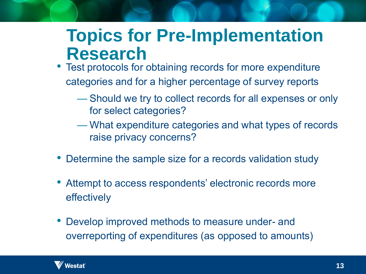#### **Topics for Pre-Implementation Research**

- Test protocols for obtaining records for more expenditure categories and for a higher percentage of survey reports
	- Should we try to collect records for all expenses or only for select categories?
	- What expenditure categories and what types of records raise privacy concerns?
- Determine the sample size for a records validation study
- Attempt to access respondents' electronic records more effectively
- Develop improved methods to measure under- and overreporting of expenditures (as opposed to amounts)

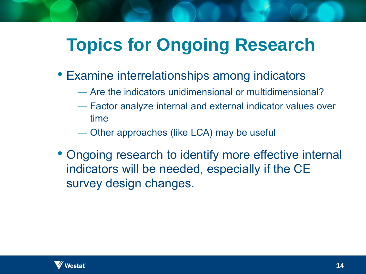# **Topics for Ongoing Research**

- Examine interrelationships among indicators
	- Are the indicators unidimensional or multidimensional?
	- Factor analyze internal and external indicator values over time
	- Other approaches (like LCA) may be useful
- Ongoing research to identify more effective internal indicators will be needed, especially if the CE survey design changes.

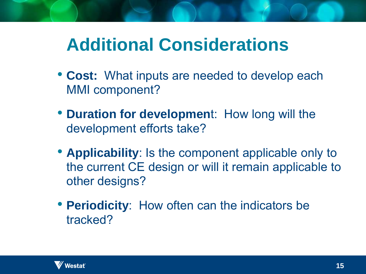# **Additional Considerations**

- **Cost:** What inputs are needed to develop each MMI component?
- **Duration for developmen**t: How long will the development efforts take?
- **Applicability**: Is the component applicable only to the current CE design or will it remain applicable to other designs?
- **Periodicity**: How often can the indicators be tracked?